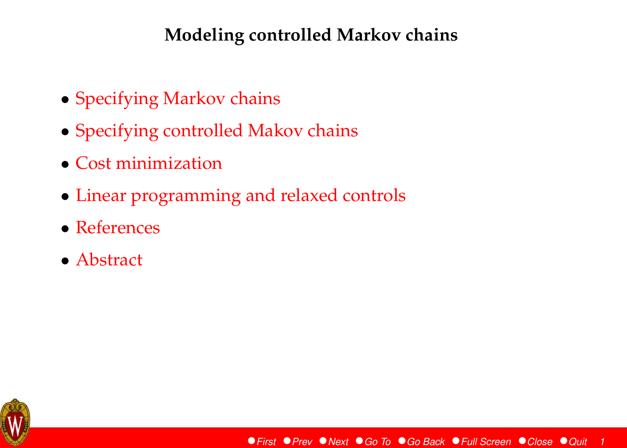#### **Modeling controlled Markov chains**

- [Specifying Markov chains](#page-1-0)
- [Specifying controlled Makov chains](#page-6-0)
- [Cost minimization](#page-9-0)
- [Linear programming and relaxed controls](#page-10-0)
- [References](#page-14-0)
- [Abstract](#page-16-0)

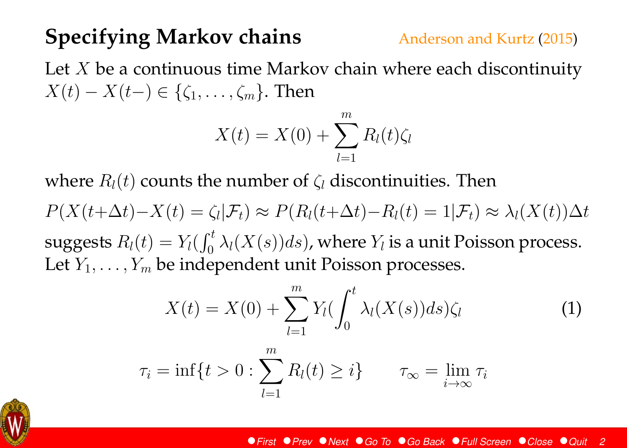# <span id="page-1-0"></span>**Specifying Markov chains** [Anderson and Kurtz](#page-14-0) [\(2015\)](#page-14-0)

Let  $X$  be a continuous time Markov chain where each discontinuity  $X(t) - X(t-) \in \{\zeta_1, \ldots, \zeta_m\}.$  Then

$$
X(t) = X(0) + \sum_{l=1}^{m} R_l(t)\zeta_l
$$

where  $R_l(t)$  counts the number of  $\zeta_l$  discontinuities. Then

$$
P(X(t+\Delta t)-X(t)=\zeta_l|\mathcal{F}_t)\approx P(R_l(t+\Delta t)-R_l(t)=1|\mathcal{F}_t)\approx \lambda_l(X(t))\Delta t
$$

suggests  $R_l(t) = Y_l(\int_0^t \lambda_l(X(s))ds)$ , where  $Y_l$  is a unit Poisson process. Let  $Y_1, \ldots, Y_m$  be independent unit Poisson processes.

$$
X(t) = X(0) + \sum_{l=1}^{m} Y_l \left(\int_0^t \lambda_l(X(s))ds\right) \zeta_l \tag{1}
$$

$$
\tau_i = \inf\{t > 0 : \sum_{l=1}^m R_l(t) \ge i\} \qquad \tau_{\infty} = \lim_{i \to \infty} \tau_i
$$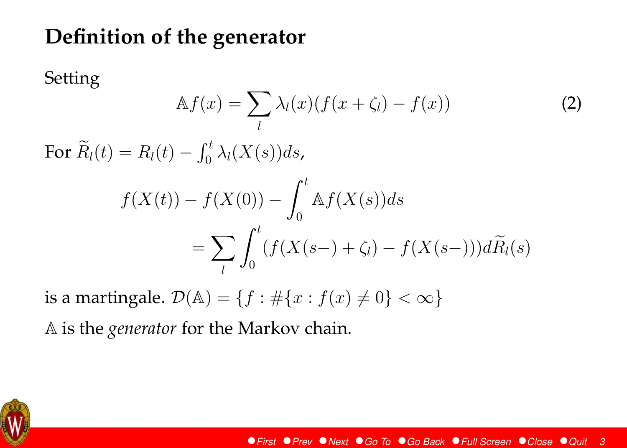# **Definition of the generator**

Setting

$$
\mathbb{A}f(x) = \sum_{l} \lambda_l(x) (f(x + \zeta_l) - f(x)) \tag{2}
$$

For  $\widetilde{R}_l(t) = R_l(t) - \int_0^t \lambda_l(X(s))ds$ ,

$$
f(X(t)) - f(X(0)) - \int_0^t \mathbb{A}f(X(s))ds
$$
  
= 
$$
\sum_l \int_0^t (f(X(s-) + \zeta_l) - f(X(s-)))d\widetilde{R}_l(s)
$$

is a martingale.  $\mathcal{D}(\mathbb{A}) = \{f : \#\{x : f(x) \neq 0\} < \infty\}$ 

A is the *generator* for the Markov chain.

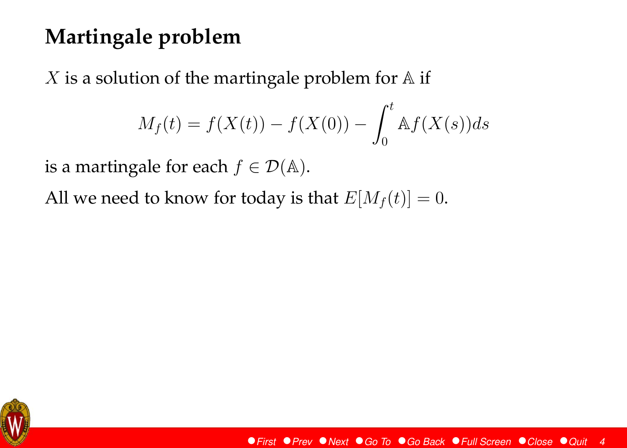# **Martingale problem**

 $X$  is a solution of the martingale problem for  $A$  if

$$
M_f(t) = f(X(t)) - f(X(0)) - \int_0^t \mathbb{A}f(X(s))ds
$$

is a martingale for each  $f \in \mathcal{D}(\mathbb{A})$ .

All we need to know for today is that  $E[M_f(t)] = 0$ .

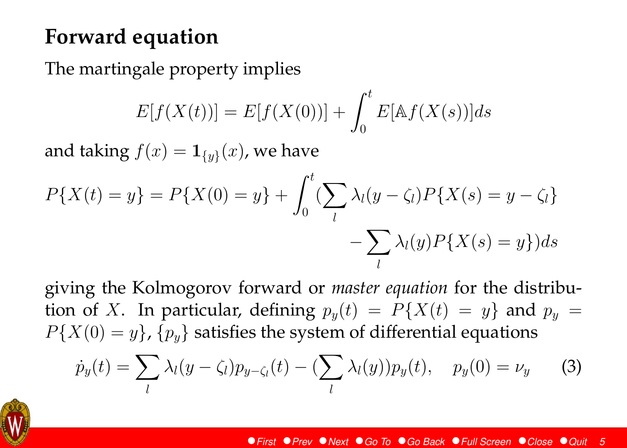## **Forward equation**

The martingale property implies

$$
E[f(X(t))] = E[f(X(0))] + \int_0^t E[\mathbb{A}f(X(s))]ds
$$

and taking  $f(x) = \mathbf{1}_{\{y\}}(x)$ , we have

$$
P\{X(t) = y\} = P\{X(0) = y\} + \int_0^t \left(\sum_l \lambda_l(y - \zeta_l) P\{X(s) = y - \zeta_l\}\right) - \sum_l \lambda_l(y) P\{X(s) = y\} ds
$$

giving the Kolmogorov forward or *master equation* for the distribution of X. In particular, defining  $p_y(t) = P\{X(t) = y\}$  and  $p_y =$  $P{X(0) = y}$ ,  ${p_u}$  satisfies the system of differential equations

$$
\dot{p}_y(t) = \sum_l \lambda_l(y - \zeta_l) p_{y - \zeta_l}(t) - \left(\sum_l \lambda_l(y)\right) p_y(t), \quad p_y(0) = \nu_y \tag{3}
$$

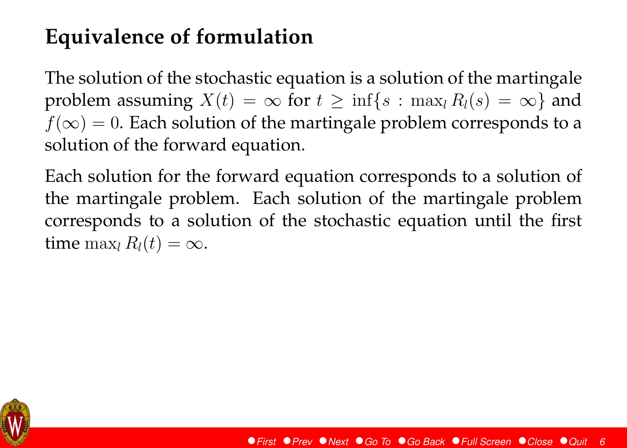# **Equivalence of formulation**

The solution of the stochastic equation is a solution of the martingale problem assuming  $X(t) = \infty$  for  $t \ge \inf\{s : \max_l R_l(s) = \infty\}$  and  $f(\infty) = 0$ . Each solution of the martingale problem corresponds to a solution of the forward equation.

Each solution for the forward equation corresponds to a solution of the martingale problem. Each solution of the martingale problem corresponds to a solution of the stochastic equation until the first time  $\max_l R_l(t) = \infty$ .

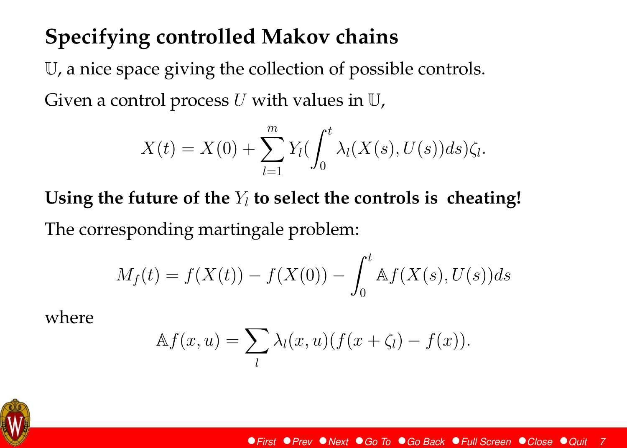# <span id="page-6-0"></span>**Specifying controlled Makov chains**

U, a nice space giving the collection of possible controls. Given a control process  $U$  with values in  $\mathbb{U}_r$ ,

$$
X(t) = X(0) + \sum_{l=1}^{m} Y_l \left( \int_0^t \lambda_l(X(s), U(s)) ds \right) \zeta_l.
$$

Using the future of the  $Y_l$  to select the controls is cheating! The corresponding martingale problem:

$$
M_f(t) = f(X(t)) - f(X(0)) - \int_0^t \mathbb{A}f(X(s), U(s))ds
$$

where

$$
\mathbb{A}f(x, u) = \sum_{l} \lambda_l(x, u) (f(x + \zeta_l) - f(x)).
$$

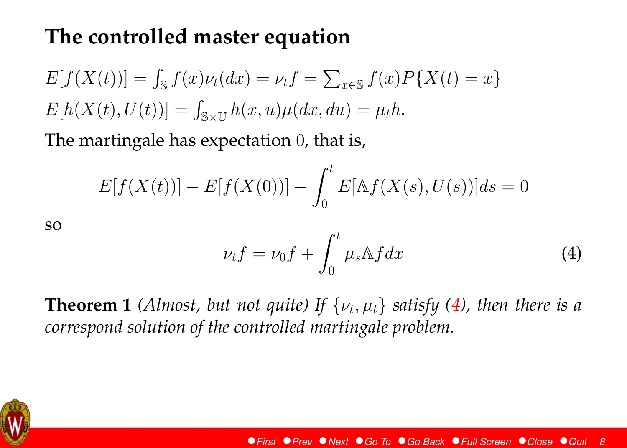#### **The controlled master equation**

$$
E[f(X(t))] = \int_{\mathbb{S}} f(x)\nu_t(dx) = \nu_t f = \sum_{x \in \mathbb{S}} f(x)P\{X(t) = x\}
$$
  

$$
E[h(X(t), U(t))] = \int_{\mathbb{S} \times \mathbb{U}} h(x, u)\mu(dx, du) = \mu_t h.
$$

The martingale has expectation 0, that is,

$$
E[f(X(t))] - E[f(X(0))] - \int_0^t E[\mathbb{A}f(X(s), U(s))]ds = 0
$$

so

$$
\nu_t f = \nu_0 f + \int_0^t \mu_s \mathbb{A} f dx \tag{4}
$$

**Theorem 1** (Almost, but not quite) If  $\{\nu_t, \mu_t\}$  satisfy (4), then there is a *correspond solution of the controlled martingale problem.*

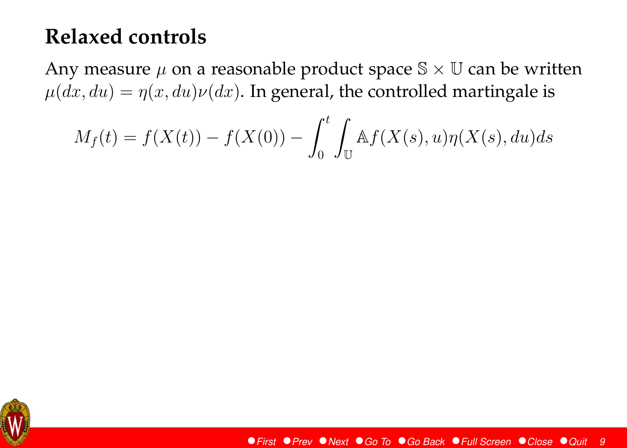## **Relaxed controls**

Any measure  $\mu$  on a reasonable product space  $\mathbb{S} \times \mathbb{U}$  can be written  $\mu(dx, du) = \eta(x, du)\nu(dx)$ . In general, the controlled martingale is

$$
M_f(t) = f(X(t)) - f(X(0)) - \int_0^t \int_{\mathbb{U}} \mathbb{A}f(X(s), u)\eta(X(s), du)ds
$$

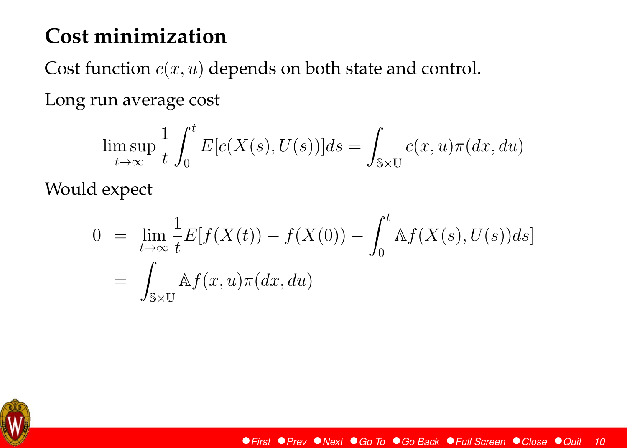## <span id="page-9-0"></span>**Cost minimization**

Cost function  $c(x, u)$  depends on both state and control. Long run average cost

$$
\limsup_{t \to \infty} \frac{1}{t} \int_0^t E[c(X(s), U(s))]ds = \int_{\mathbb{S} \times \mathbb{U}} c(x, u) \pi(dx, du)
$$

Would expect

$$
0 = \lim_{t \to \infty} \frac{1}{t} E[f(X(t)) - f(X(0)) - \int_0^t \mathbb{A}f(X(s), U(s))ds]
$$
  
= 
$$
\int_{\mathbb{S} \times \mathbb{U}} \mathbb{A}f(x, u)\pi(dx, du)
$$

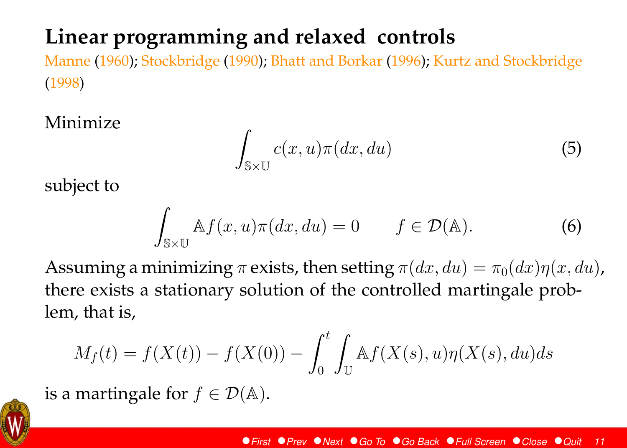# <span id="page-10-0"></span>**Linear programming and relaxed controls**

[Manne](#page-15-0) [\(1960\)](#page-15-0); [Stockbridge](#page-15-0) [\(1990\)](#page-15-0); [Bhatt and Borkar](#page-14-0) [\(1996\)](#page-14-0); [Kurtz and Stockbridge](#page-14-0) [\(1998\)](#page-14-0)

Minimize

$$
\int_{\mathbb{S}\times\mathbb{U}} c(x,u)\pi(dx,du) \tag{5}
$$

subject to

$$
\int_{\mathbb{S}\times\mathbb{U}} \mathbb{A}f(x,u)\pi(dx,du) = 0 \qquad f \in \mathcal{D}(\mathbb{A}).\tag{6}
$$

Assuming a minimizing  $\pi$  exists, then setting  $\pi(dx, du) = \pi_0(dx)\eta(x, du)$ , there exists a stationary solution of the controlled martingale problem, that is,

$$
M_f(t) = f(X(t)) - f(X(0)) - \int_0^t \int_{\mathbb{U}} \mathbb{A}f(X(s), u)\eta(X(s), du)ds
$$

is a martingale for  $f \in \mathcal{D}(\mathbb{A})$ .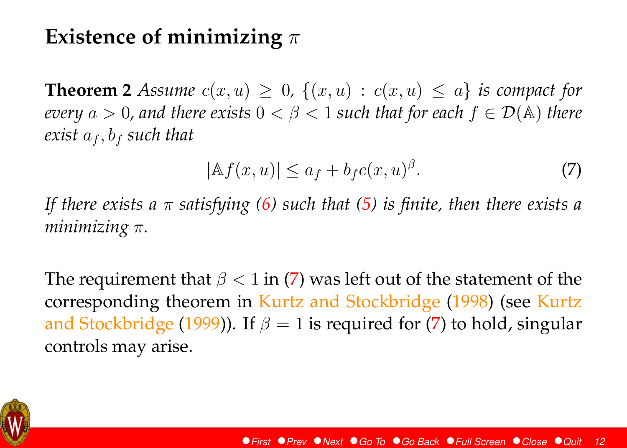## **Existence of minimizing** π

**Theorem 2** *Assume*  $c(x, u) \geq 0$ ,  $\{(x, u) : c(x, u) \leq a\}$  *is compact for every*  $a > 0$ , and there exists  $0 < \beta < 1$  *such that for each*  $f \in \mathcal{D}(\mathbb{A})$  *there exist*  $a_f$ ,  $b_f$  *such that* 

$$
|\mathbb{A}f(x,u)| \le a_f + b_f c(x,u)^\beta. \tag{7}
$$

*If there exists a* π *satisfying [\(6\)](#page-10-0) such that [\(5\)](#page-10-0) is finite, then there exists a minimizing* π*.*

The requirement that  $\beta$  < 1 in (7) was left out of the statement of the corresponding theorem in [Kurtz and Stockbridge](#page-14-0) [\(1998\)](#page-14-0) (see [Kurtz](#page-14-0) [and Stockbridge](#page-14-0) [\(1999\)](#page-14-0)). If  $\beta = 1$  is required for (7) to hold, singular controls may arise.

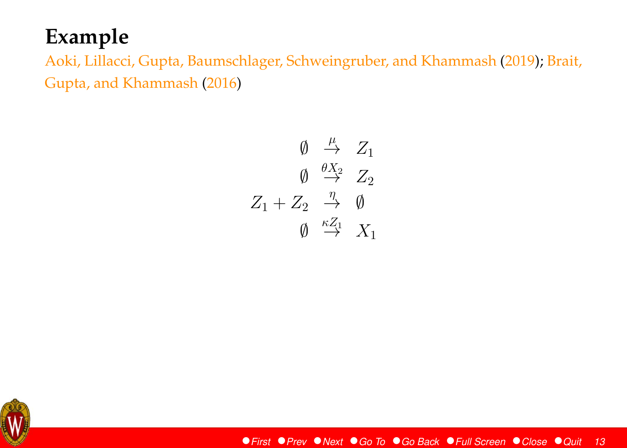## **Example**

[Aoki, Lillacci, Gupta, Baumschlager, Schweingruber, and Khammash](#page-14-0) [\(2019\)](#page-14-0); [Brait,](#page-14-0) [Gupta, and Khammash](#page-14-0) [\(2016\)](#page-14-0)

$$
\begin{array}{rcl}\n\emptyset & \stackrel{\mu}{\to} & Z_1 \\
\emptyset & \stackrel{\theta X_2}{\to} & Z_2 \\
Z_1 + Z_2 & \stackrel{\eta}{\to} & \emptyset \\
\emptyset & \stackrel{\kappa Z_1}{\to} & X_1\n\end{array}
$$

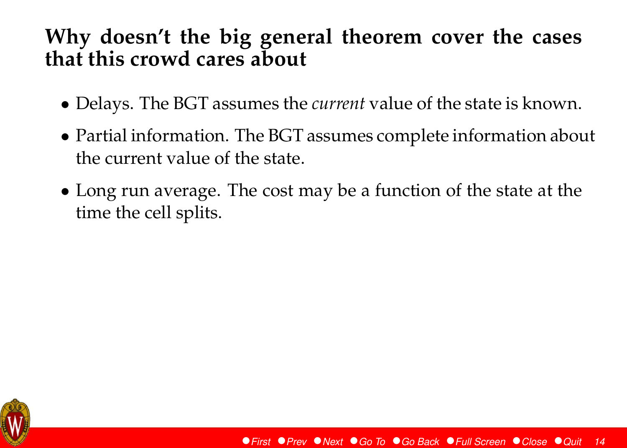#### **Why doesn't the big general theorem cover the cases that this crowd cares about**

- Delays. The BGT assumes the *current* value of the state is known.
- Partial information. The BGT assumes complete information about the current value of the state.
- Long run average. The cost may be a function of the state at the time the cell splits.

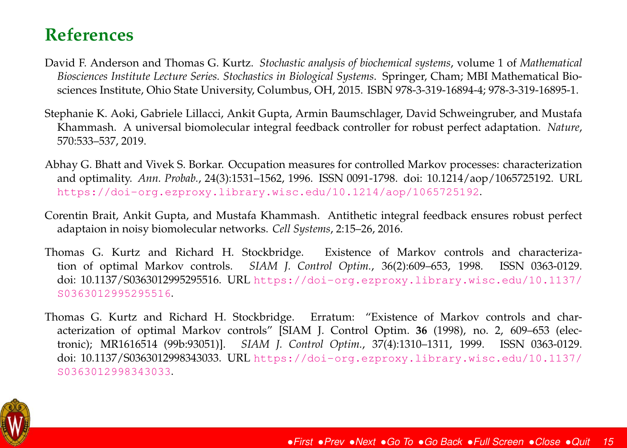#### <span id="page-14-0"></span>**References**

- David F. Anderson and Thomas G. Kurtz. *Stochastic analysis of biochemical systems*, volume 1 of *Mathematical Biosciences Institute Lecture Series. Stochastics in Biological Systems*. Springer, Cham; MBI Mathematical Biosciences Institute, Ohio State University, Columbus, OH, 2015. ISBN 978-3-319-16894-4; 978-3-319-16895-1.
- Stephanie K. Aoki, Gabriele Lillacci, Ankit Gupta, Armin Baumschlager, David Schweingruber, and Mustafa Khammash. A universal biomolecular integral feedback controller for robust perfect adaptation. *Nature*, 570:533–537, 2019.
- Abhay G. Bhatt and Vivek S. Borkar. Occupation measures for controlled Markov processes: characterization and optimality. *Ann. Probab.*, 24(3):1531–1562, 1996. ISSN 0091-1798. doi: 10.1214/aop/1065725192. URL <https://doi-org.ezproxy.library.wisc.edu/10.1214/aop/1065725192>.
- Corentin Brait, Ankit Gupta, and Mustafa Khammash. Antithetic integral feedback ensures robust perfect adaptaion in noisy biomolecular networks. *Cell Systems*, 2:15–26, 2016.
- Thomas G. Kurtz and Richard H. Stockbridge. Existence of Markov controls and characterization of optimal Markov controls. *SIAM J. Control Optim.*, 36(2):609–653, 1998. ISSN 0363-0129. doi: 10.1137/S0363012995295516. URL [https://doi-org.ezproxy.library.wisc.edu/10.1137/](https://doi-org.ezproxy.library.wisc.edu/10.1137/S0363012995295516) [S0363012995295516](https://doi-org.ezproxy.library.wisc.edu/10.1137/S0363012995295516).
- Thomas G. Kurtz and Richard H. Stockbridge. Erratum: "Existence of Markov controls and characterization of optimal Markov controls" [SIAM J. Control Optim. **36** (1998), no. 2, 609–653 (electronic); MR1616514 (99b:93051)]. *SIAM J. Control Optim.*, 37(4):1310–1311, 1999. ISSN 0363-0129. doi: 10.1137/S0363012998343033. URL [https://doi-org.ezproxy.library.wisc.edu/10.1137/](https://doi-org.ezproxy.library.wisc.edu/10.1137/S0363012998343033) [S0363012998343033](https://doi-org.ezproxy.library.wisc.edu/10.1137/S0363012998343033).

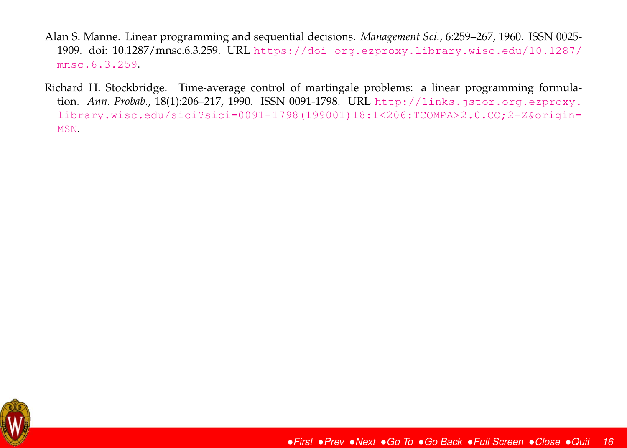- <span id="page-15-0"></span>Alan S. Manne. Linear programming and sequential decisions. *Management Sci.*, 6:259–267, 1960. ISSN 0025- 1909. doi: 10.1287/mnsc.6.3.259. URL [https://doi-org.ezproxy.library.wisc.edu/10.1287/](https://doi-org.ezproxy.library.wisc.edu/10.1287/mnsc.6.3.259) [mnsc.6.3.259](https://doi-org.ezproxy.library.wisc.edu/10.1287/mnsc.6.3.259).
- Richard H. Stockbridge. Time-average control of martingale problems: a linear programming formulation. *Ann. Probab.*, 18(1):206–217, 1990. ISSN 0091-1798. URL [http://links.jstor.org.ezproxy.](http://links.jstor.org.ezproxy.library.wisc.edu/sici?sici=0091-1798(199001)18:1<206:TCOMPA>2.0.CO;2-Z&origin=MSN) [library.wisc.edu/sici?sici=0091-1798\(199001\)18:1<206:TCOMPA>2.0.CO;2-Z&origin=](http://links.jstor.org.ezproxy.library.wisc.edu/sici?sici=0091-1798(199001)18:1<206:TCOMPA>2.0.CO;2-Z&origin=MSN) [MSN](http://links.jstor.org.ezproxy.library.wisc.edu/sici?sici=0091-1798(199001)18:1<206:TCOMPA>2.0.CO;2-Z&origin=MSN).